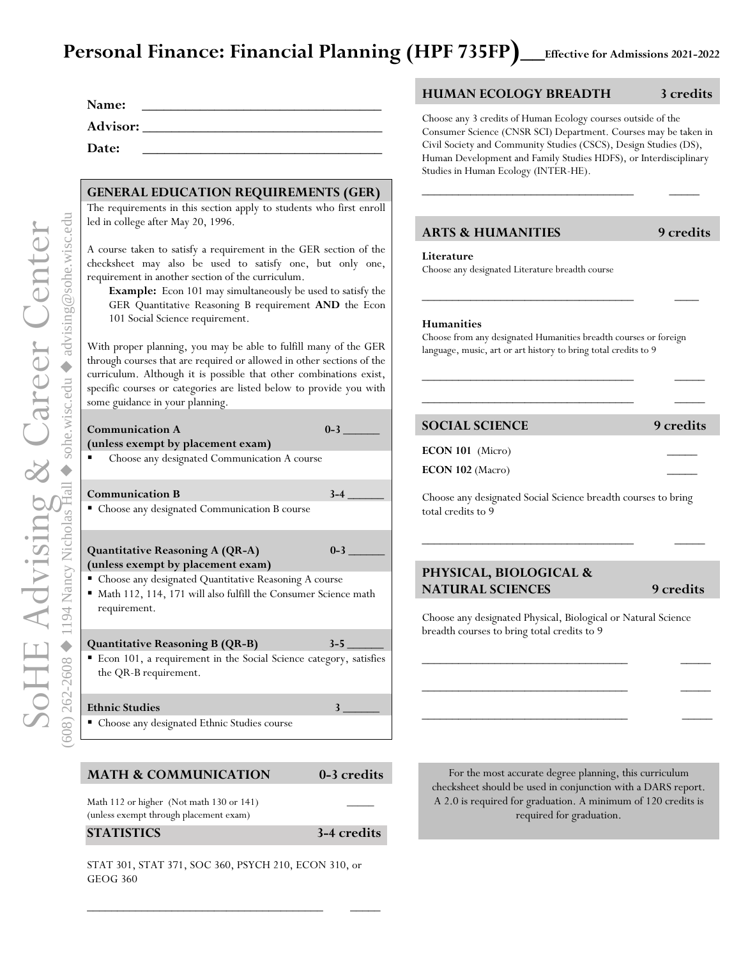# Personal Finance: Financial Planning (HPF 735FP)\_\_Effective for Admissions 2021-2022

| Name:           |  |
|-----------------|--|
| <b>Advisor:</b> |  |
| Date:           |  |

## **GENERAL EDUCATION REQUIREMENTS (GER)**

The requirements in this section apply to students who first enroll led in college after May 20, 1996.

A course taken to satisfy a requirement in the GER section of the checksheet may also be used to satisfy one, but only one, requirement in another section of the curriculum.

**Example:** Econ 101 may simultaneously be used to satisfy the GER Quantitative Reasoning B requirement **AND** the Econ 101 Social Science requirement.

With proper planning, you may be able to fulfill many of the GER through courses that are required or allowed in other sections of the curriculum. Although it is possible that other combinations exist, specific courses or categories are listed below to provide you with some guidance in your planning.

| Communication A<br>(unless exempt by placement exam)                                                                                        | $0-3$ |  |  |
|---------------------------------------------------------------------------------------------------------------------------------------------|-------|--|--|
| Choose any designated Communication A course                                                                                                |       |  |  |
| <b>Communication B</b>                                                                                                                      | $3-4$ |  |  |
| Choose any designated Communication B course                                                                                                |       |  |  |
| <b>Quantitative Reasoning A (QR-A)</b><br>(unless exempt by placement exam)                                                                 | $0-3$ |  |  |
| " Choose any designated Quantitative Reasoning A course<br>• Math 112, 114, 171 will also fulfill the Consumer Science math<br>requirement. |       |  |  |
| Quantitative Reasoning B (QR-B)                                                                                                             | $3-5$ |  |  |
| " Econ 101, a requirement in the Social Science category, satisfies<br>the QR-B requirement.                                                |       |  |  |
| <b>Ethnic Studies</b>                                                                                                                       |       |  |  |
| • Choose any designated Ethnic Studies course                                                                                               |       |  |  |

## **MATH & COMMUNICATION 0-3 credits**

Math 112 or higher (Not math 130 or 141) (unless exempt through placement exam)

### **STATISTICS 3-4 credits**

STAT 301, STAT 371, SOC 360, PSYCH 210, ECON 310, or GEOG 360

\_\_\_\_\_\_\_\_\_\_\_\_\_\_\_\_\_\_\_\_\_\_\_\_\_\_\_\_\_\_\_\_\_\_\_\_\_\_\_ \_\_\_\_\_

# **HUMAN ECOLOGY BREADTH 3 credits**

Choose any 3 credits of Human Ecology courses outside of the Consumer Science (CNSR SCI) Department. Courses may be taken in Civil Society and Community Studies (CSCS), Design Studies (DS), Human Development and Family Studies HDFS), or Interdisciplinary Studies in Human Ecology (INTER-HE).

\_\_\_\_\_\_\_\_\_\_\_\_\_\_\_\_\_\_\_\_\_\_\_\_\_\_\_\_\_\_\_\_\_\_\_ \_\_\_\_\_

# **ARTS & HUMANITIES 9 credits**

#### **Literature**

Choose any designated Literature breadth course

### **Humanities**

Choose from any designated Humanities breadth courses or foreign language, music, art or art history to bring total credits to 9

\_\_\_\_\_\_\_\_\_\_\_\_\_\_\_\_\_\_\_\_\_\_\_\_\_\_\_\_\_\_\_\_\_\_\_ \_\_\_\_\_  $\frac{1}{2}$  ,  $\frac{1}{2}$  ,  $\frac{1}{2}$  ,  $\frac{1}{2}$  ,  $\frac{1}{2}$  ,  $\frac{1}{2}$  ,  $\frac{1}{2}$  ,  $\frac{1}{2}$  ,  $\frac{1}{2}$  ,  $\frac{1}{2}$  ,  $\frac{1}{2}$  ,  $\frac{1}{2}$  ,  $\frac{1}{2}$  ,  $\frac{1}{2}$  ,  $\frac{1}{2}$  ,  $\frac{1}{2}$  ,  $\frac{1}{2}$  ,  $\frac{1}{2}$  ,  $\frac{1$ 

\_\_\_\_\_\_\_\_\_\_\_\_\_\_\_\_\_\_\_\_\_\_\_\_\_\_\_\_\_\_\_\_\_\_\_ \_\_\_\_

## **SOCIAL SCIENCE 9 credits**

**ECON 101** (Micro)

**ECON 102** (Macro)

Choose any designated Social Science breadth courses to bring total credits to 9

\_\_\_\_\_\_\_\_\_\_\_\_\_\_\_\_\_\_\_\_\_\_\_\_\_\_\_\_\_\_\_\_\_\_\_ \_\_\_\_\_

# **PHYSICAL, BIOLOGICAL & NATURAL SCIENCES** 9 credits

Choose any designated Physical, Biological or Natural Science breadth courses to bring total credits to 9

\_\_\_\_\_\_\_\_\_\_\_\_\_\_\_\_\_\_\_\_\_\_\_\_\_\_\_\_\_\_\_\_\_\_ \_\_\_\_\_

\_\_\_\_\_\_\_\_\_\_\_\_\_\_\_\_\_\_\_\_\_\_\_\_\_\_\_\_\_\_\_\_\_\_ \_\_\_\_\_

\_\_\_\_\_\_\_\_\_\_\_\_\_\_\_\_\_\_\_\_\_\_\_\_\_\_\_\_\_\_\_\_\_\_ \_\_\_\_\_

For the most accurate degree planning, this curriculum checksheet should be used in conjunction with a DARS report. A 2.0 is required for graduation. A minimum of 120 credits is required for graduation.

SoHE Advising & Career Center  $\blacklozenge$ ◆ 1194 Nancy Nicholas Hall  $\blacklozenge$  sohe.wisc.edu  $\blacklozenge$ ◆ advising@sohe.wisc.edu